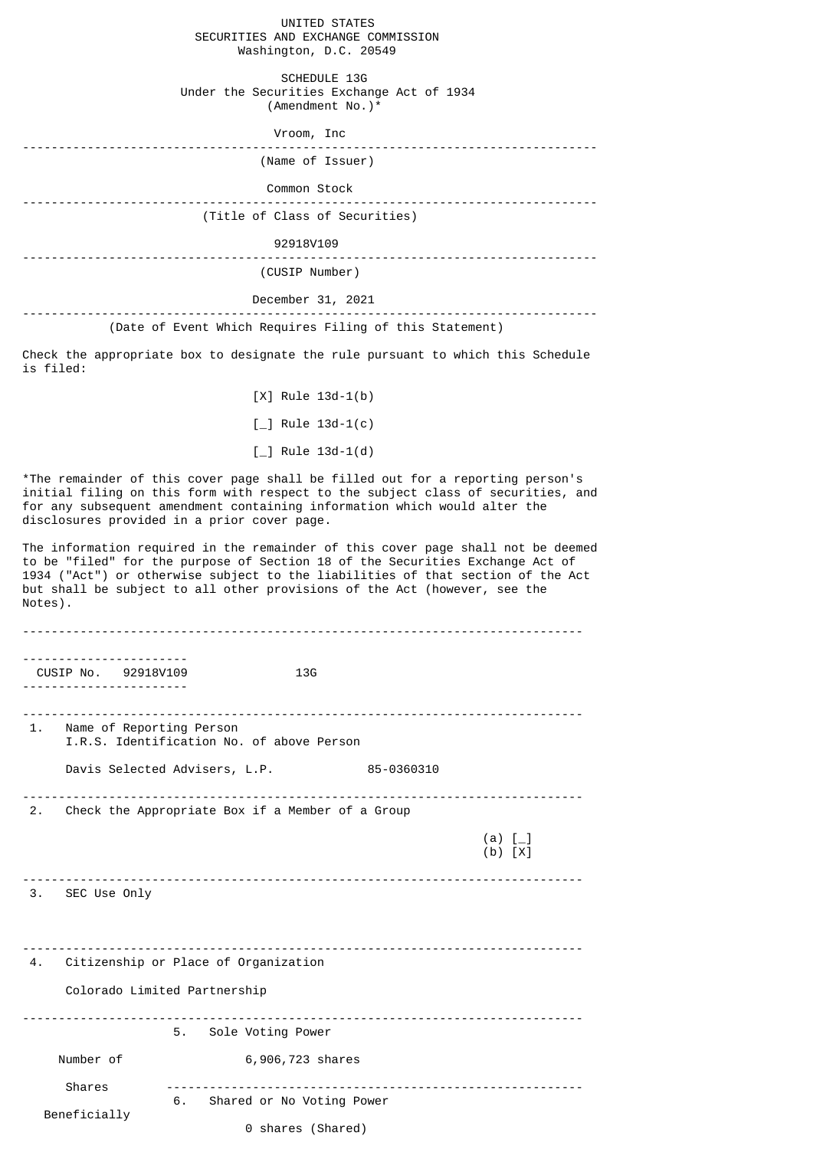## UNITED STATES SECURITIES AND EXCHANGE COMMISSION Washington, D.C. 20549

 SCHEDULE 13G Under the Securities Exchange Act of 1934 (Amendment No.)\*

| Vroom, Inc |  |  |
|------------|--|--|
|------------|--|--|

| (Name of Issuer) |  |
|------------------|--|
| Common Stock     |  |

--------------------------------------------------------------------------------

(Title of Class of Securities)

92918V109

-------------------------------------------------------------------------------- (CUSIP Number)

## December 31, 2021

## -------------------------------------------------------------------------------- (Date of Event Which Requires Filing of this Statement)

Check the appropriate box to designate the rule pursuant to which this Schedule is filed:

> [X] Rule 13d-1(b)  $[-]$  Rule 13d-1(c)  $[-]$  Rule 13d-1(d)

\*The remainder of this cover page shall be filled out for a reporting person's initial filing on this form with respect to the subject class of securities, and for any subsequent amendment containing information which would alter the disclosures provided in a prior cover page.

The information required in the remainder of this cover page shall not be deemed to be "filed" for the purpose of Section 18 of the Securities Exchange Act of 1934 ("Act") or otherwise subject to the liabilities of that section of the Act but shall be subject to all other provisions of the Act (however, see the Notes).

| .                            |                                                     |                      |  |  |
|------------------------------|-----------------------------------------------------|----------------------|--|--|
| CUSIP No. 92918V109          | 13 <sub>G</sub>                                     |                      |  |  |
|                              |                                                     |                      |  |  |
| 1. Name of Reporting Person  | I.R.S. Identification No. of above Person           |                      |  |  |
|                              | Davis Selected Advisers, L.P.<br>85-0360310         |                      |  |  |
|                              | 2. Check the Appropriate Box if a Member of a Group |                      |  |  |
|                              |                                                     | (a) $[-]$<br>(b) [X] |  |  |
| 3. SEC Use Only              |                                                     |                      |  |  |
|                              | 4. Citizenship or Place of Organization             |                      |  |  |
| Colorado Limited Partnership |                                                     |                      |  |  |
|                              | 5. Sole Voting Power                                |                      |  |  |
| Number of                    | 6,906,723 shares                                    |                      |  |  |
| Shares                       |                                                     |                      |  |  |
| Beneficially                 | 6. Shared or No Voting Power<br>0 shares (Shared)   |                      |  |  |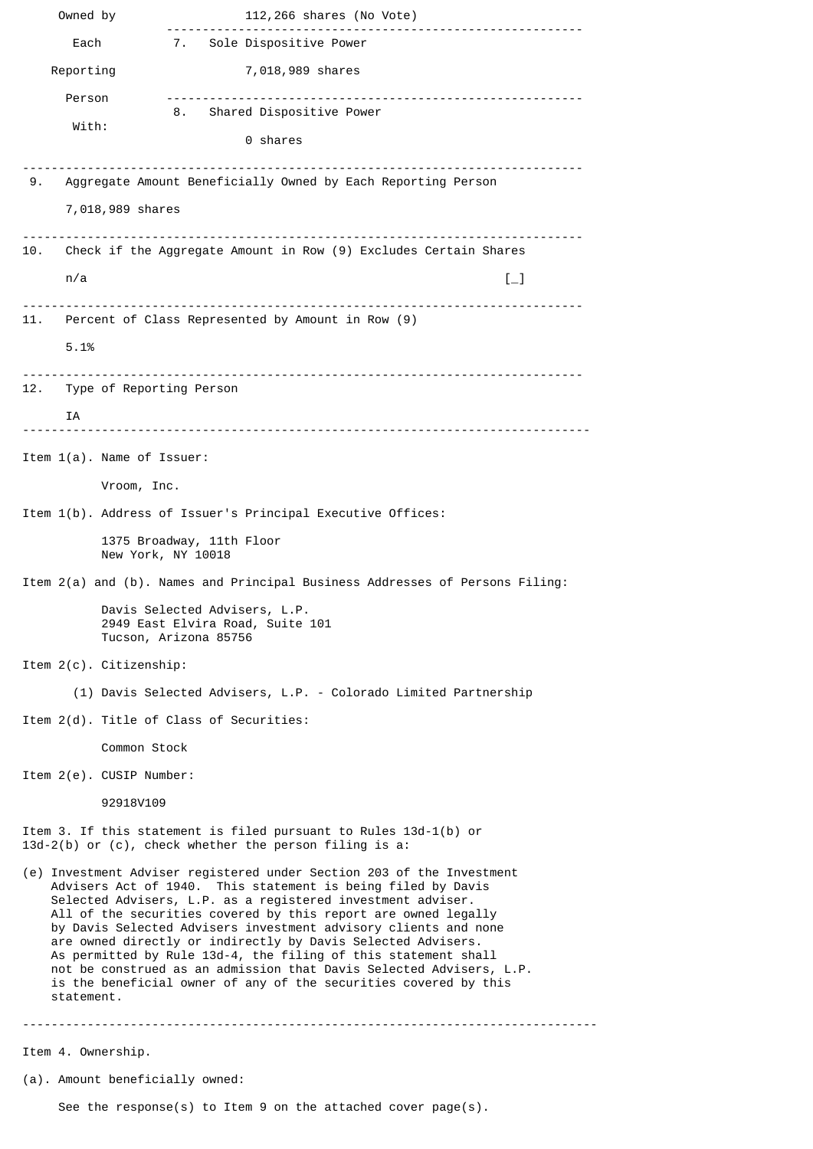Owned by 112,266 shares (No Vote) ---------------------------------------------------------- 7. Sole Dispositive Power Reporting 7,018,989 shares Person ---------------------------------------------------------- 8. Shared Dispositive Power With: 0 shares ------------------------------------------------------------------------------ 9. Aggregate Amount Beneficially Owned by Each Reporting Person 7,018,989 shares ------------------------------------------------------------------------------ 10. Check if the Aggregate Amount in Row (9) Excludes Certain Shares n/a  $\left[\begin{smallmatrix} -1 \end{smallmatrix}\right]$ ------------------------------------------------------------------------------ 11. Percent of Class Represented by Amount in Row (9) 5.1% ------------------------------------------------------------------------------ 12. Type of Reporting Person IA ------------------------------------------------------------------------------- Item 1(a). Name of Issuer: Vroom, Inc. Item 1(b). Address of Issuer's Principal Executive Offices: 1375 Broadway, 11th Floor New York, NY 10018 Item 2(a) and (b). Names and Principal Business Addresses of Persons Filing: Davis Selected Advisers, L.P. 2949 East Elvira Road, Suite 101 Tucson, Arizona 85756 Item 2(c). Citizenship: (1) Davis Selected Advisers, L.P. - Colorado Limited Partnership Item 2(d). Title of Class of Securities: Common Stock Item 2(e). CUSIP Number: 92918V109 Item 3. If this statement is filed pursuant to Rules 13d-1(b) or 13d-2(b) or (c), check whether the person filing is a: (e) Investment Adviser registered under Section 203 of the Investment Advisers Act of 1940. This statement is being filed by Davis Selected Advisers, L.P. as a registered investment adviser. All of the securities covered by this report are owned legally by Davis Selected Advisers investment advisory clients and none are owned directly or indirectly by Davis Selected Advisers. As permitted by Rule 13d-4, the filing of this statement shall not be construed as an admission that Davis Selected Advisers, L.P. is the beneficial owner of any of the securities covered by this statement. -------------------------------------------------------------------------------- Item 4. Ownership. (a). Amount beneficially owned:

See the response(s) to Item 9 on the attached cover page(s).